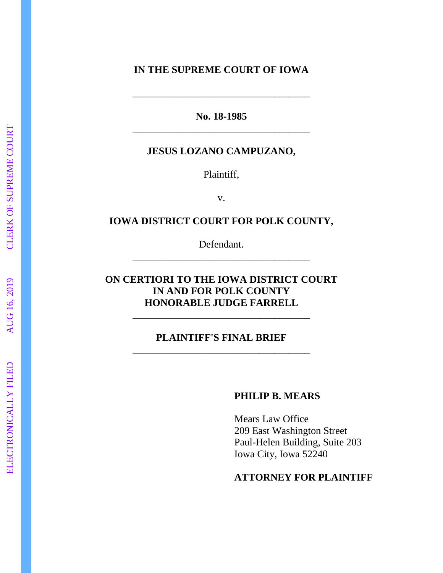## **IN THE SUPREME COURT OF IOWA**

**No. 18 -1985** \_\_\_\_\_\_\_\_\_\_\_\_\_\_\_\_\_\_\_\_\_\_\_\_\_\_\_\_\_\_\_\_\_\_\_

\_\_\_\_\_\_\_\_\_\_\_\_\_\_\_\_\_\_\_\_\_\_\_\_\_\_\_\_\_\_\_\_\_\_\_

### **JESUS LOZANO CAMPUZANO,**

Plaintiff ,

v.

## **IOWA DISTRICT COURT FOR POLK COUNTY ,**

Defendant. \_\_\_\_\_\_\_\_\_\_\_\_\_\_\_\_\_\_\_\_\_\_\_\_\_\_\_\_\_\_\_\_\_\_\_

# **ON CERTIORI TO THE IOWA DISTRICT COURT IN AND FOR POLK COUNTY HONORABLE JUDGE FARRELL**

\_\_\_\_\_\_\_\_\_\_\_\_\_\_\_\_\_\_\_\_\_\_\_\_\_\_\_\_\_\_\_\_\_\_\_

## **PLAINTIFF'S FINAL BRIEF** \_\_\_\_\_\_\_\_\_\_\_\_\_\_\_\_\_\_\_\_\_\_\_\_\_\_\_\_\_\_\_\_\_\_\_

### **PHILIP B. MEARS**

Mears Law Office 209 East Washington Street Paul -Helen Building, Suite 203 Iowa City, Iowa 52240

## **ATTORNEY FOR PLAINTIFF**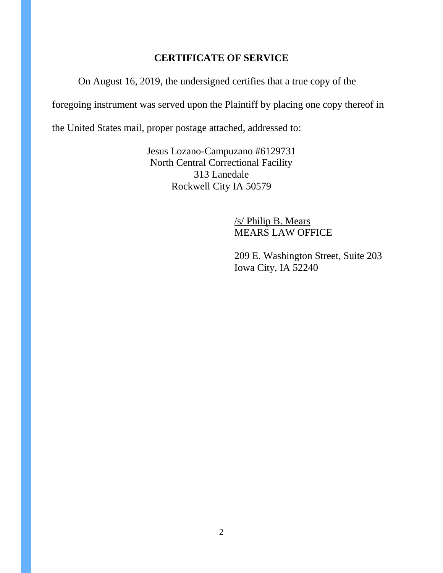## **CERTIFICATE OF SERVICE**

On August 16, 2019, the undersigned certifies that a true copy of the

foregoing instrument was served upon the Plaintiff by placing one copy thereof in

the United States mail, proper postage attached, addressed to:

Jesus Lozano-Campuzano #6129731 North Central Correctional Facility 313 Lanedale Rockwell City IA 50579

> /s/ Philip B. Mears MEARS LAW OFFICE

209 E. Washington Street, Suite 203 Iowa City, IA 52240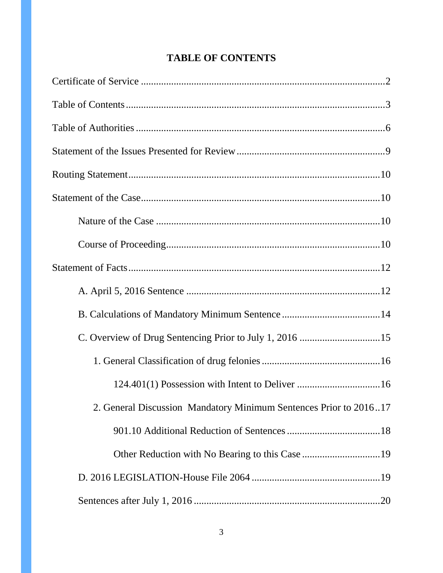| <b>TABLE OF CONTENTS</b> |  |
|--------------------------|--|
|--------------------------|--|

| 2. General Discussion Mandatory Minimum Sentences Prior to 201617 |
|-------------------------------------------------------------------|
|                                                                   |
|                                                                   |
|                                                                   |
|                                                                   |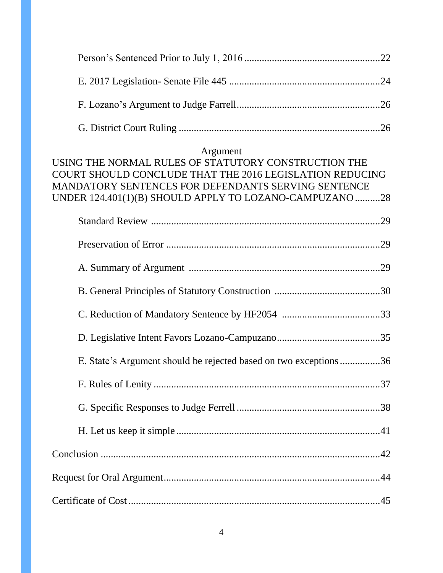## Argument

| USING THE NORMAL RULES OF STATUTORY CONSTRUCTION THE<br>COURT SHOULD CONCLUDE THAT THE 2016 LEGISLATION REDUCING<br>MANDATORY SENTENCES FOR DEFENDANTS SERVING SENTENCE |
|-------------------------------------------------------------------------------------------------------------------------------------------------------------------------|
| UNDER 124.401(1)(B) SHOULD APPLY TO LOZANO-CAMPUZANO 28                                                                                                                 |
|                                                                                                                                                                         |
|                                                                                                                                                                         |
|                                                                                                                                                                         |
|                                                                                                                                                                         |
|                                                                                                                                                                         |
|                                                                                                                                                                         |
| E. State's Argument should be rejected based on two exceptions36                                                                                                        |
|                                                                                                                                                                         |
|                                                                                                                                                                         |
|                                                                                                                                                                         |
|                                                                                                                                                                         |
|                                                                                                                                                                         |
|                                                                                                                                                                         |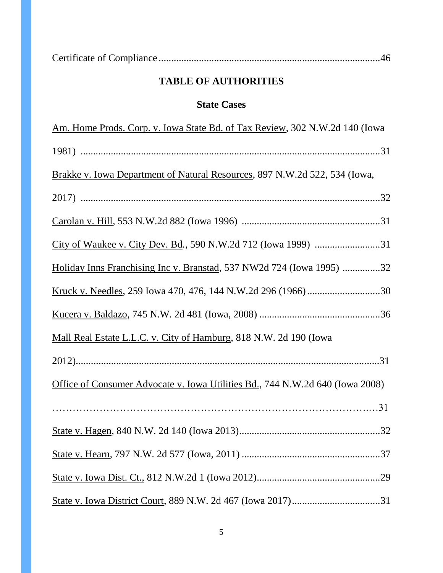| <b>TABLE OF AUTHORITIES</b>                                                         |  |  |
|-------------------------------------------------------------------------------------|--|--|
| <b>State Cases</b>                                                                  |  |  |
| <u>Am. Home Prods. Corp. v. Iowa State Bd. of Tax Review</u> , 302 N.W.2d 140 (Iowa |  |  |
|                                                                                     |  |  |
| Brakke v. Iowa Department of Natural Resources, 897 N.W.2d 522, 534 (Iowa,          |  |  |
|                                                                                     |  |  |
|                                                                                     |  |  |
|                                                                                     |  |  |
| Holiday Inns Franchising Inc v. Branstad, 537 NW2d 724 (Iowa 1995) 32               |  |  |
|                                                                                     |  |  |
|                                                                                     |  |  |
| Mall Real Estate L.L.C. v. City of Hamburg, 818 N.W. 2d 190 (Iowa                   |  |  |
|                                                                                     |  |  |
| Office of Consumer Advocate v. Iowa Utilities Bd., 744 N.W.2d 640 (Iowa 2008)       |  |  |
|                                                                                     |  |  |
|                                                                                     |  |  |
|                                                                                     |  |  |
|                                                                                     |  |  |
|                                                                                     |  |  |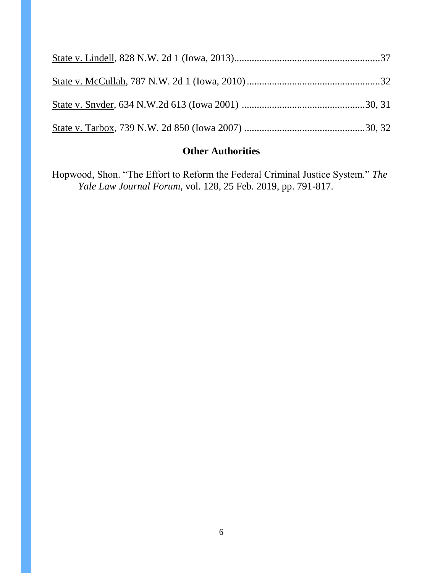# **Other Authorities**

Hopwood, Shon. "The Effort to Reform the Federal Criminal Justice System." The *Yale Law Journal Forum*, vol. 128, 25 Feb. 2019, pp. 791-817.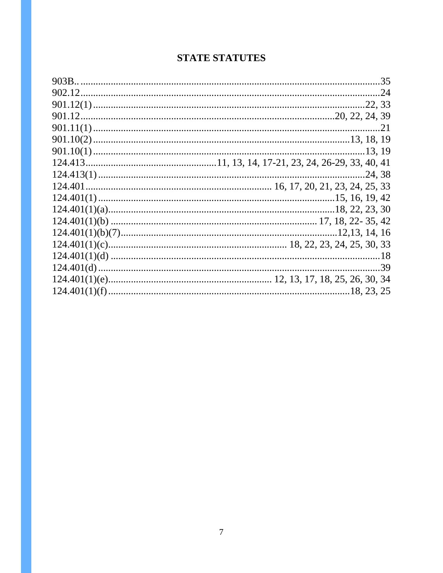# **STATE STATUTES**

| .24, 38 |
|---------|
|         |
|         |
|         |
|         |
|         |
|         |
|         |
|         |
|         |
|         |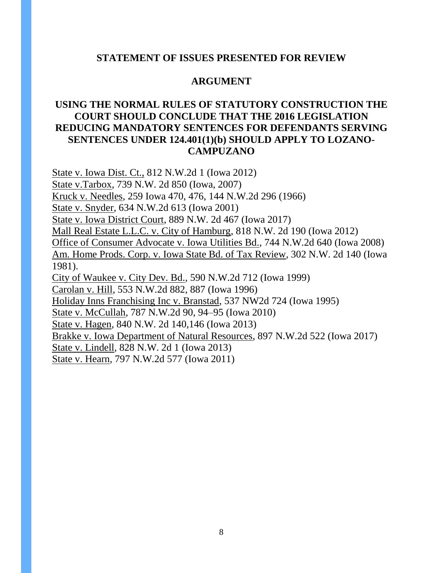### **STATEMENT OF ISSUES PRESENTED FOR REVIEW**

### **ARGUMENT**

## **USING THE NORMAL RULES OF STATUTORY CONSTRUCTION THE COURT SHOULD CONCLUDE THAT THE 2016 LEGISLATION REDUCING MANDATORY SENTENCES FOR DEFENDANTS SERVING SENTENCES UNDER 124.401(1)(b) SHOULD APPLY TO LOZANO-CAMPUZANO**

State v. Iowa Dist. Ct., 812 N.W.2d 1 (Iowa 2012)

State v.Tarbox, 739 N.W. 2d 850 (Iowa, 2007)

Kruck v. Needles, 259 Iowa 470, 476, 144 N.W.2d 296 (1966)

State v. Snyder*,* 634 N.W.2d 613 (Iowa 2001)

State v. Iowa District Court, 889 N.W. 2d 467 (Iowa 2017)

Mall Real Estate L.L.C. v. City of Hamburg, 818 N.W. 2d 190 (Iowa 2012)

Office of Consumer Advocate v. Iowa Utilities Bd., 744 N.W.2d 640 (Iowa 2008)

Am. Home Prods. Corp. v. Iowa State Bd. of Tax Review*,* 302 N.W. 2d 140 (Iowa 1981).

City of Waukee v. City Dev. Bd.*,* 590 N.W.2d 712 (Iowa 1999)

Carolan v. Hill*,* 553 N.W.2d 882, 887 (Iowa 1996)

Holiday Inns Franchising Inc v. Branstad, 537 NW2d 724 (Iowa 1995)

State v. McCullah, 787 N.W.2d 90, 94–95 (Iowa 2010)

State v. Hagen, 840 N.W. 2d 140,146 (Iowa 2013)

Brakke v. Iowa Department of Natural Resources, 897 N.W.2d 522 (Iowa 2017)

State v. Lindell*,* 828 N.W. 2d 1 (Iowa 2013)

State v. Hearn, 797 N.W.2d 577 (Iowa 2011)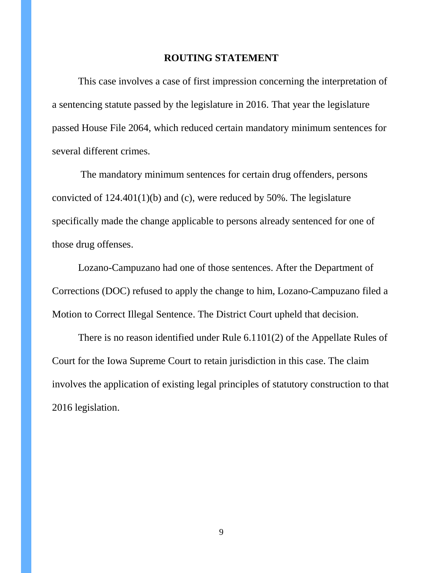### **ROUTING STATEMENT**

This case involves a case of first impression concerning the interpretation of a sentencing statute passed by the legislature in 2016. That year the legislature passed House File 2064, which reduced certain mandatory minimum sentences for several different crimes.

The mandatory minimum sentences for certain drug offenders, persons convicted of 124.401(1)(b) and (c), were reduced by 50%. The legislature specifically made the change applicable to persons already sentenced for one of those drug offenses.

Lozano-Campuzano had one of those sentences. After the Department of Corrections (DOC) refused to apply the change to him, Lozano-Campuzano filed a Motion to Correct Illegal Sentence. The District Court upheld that decision.

There is no reason identified under Rule 6.1101(2) of the Appellate Rules of Court for the Iowa Supreme Court to retain jurisdiction in this case. The claim involves the application of existing legal principles of statutory construction to that 2016 legislation.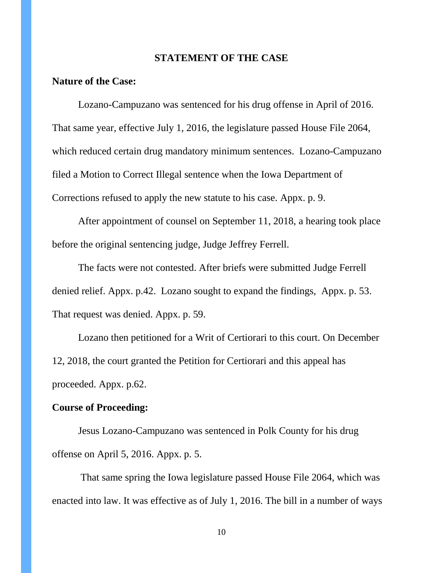#### **STATEMENT OF THE CASE**

## **Nature of the Case:**

Lozano-Campuzano was sentenced for his drug offense in April of 2016. That same year, effective July 1, 2016, the legislature passed House File 2064, which reduced certain drug mandatory minimum sentences. Lozano-Campuzano filed a Motion to Correct Illegal sentence when the Iowa Department of Corrections refused to apply the new statute to his case. Appx. p. 9.

After appointment of counsel on September 11, 2018, a hearing took place before the original sentencing judge, Judge Jeffrey Ferrell.

The facts were not contested. After briefs were submitted Judge Ferrell denied relief. Appx. p.42. Lozano sought to expand the findings, Appx. p. 53. That request was denied. Appx. p. 59.

Lozano then petitioned for a Writ of Certiorari to this court. On December 12, 2018, the court granted the Petition for Certiorari and this appeal has proceeded. Appx. p.62.

#### **Course of Proceeding:**

Jesus Lozano-Campuzano was sentenced in Polk County for his drug offense on April 5, 2016. Appx. p. 5.

That same spring the Iowa legislature passed House File 2064, which was enacted into law. It was effective as of July 1, 2016. The bill in a number of ways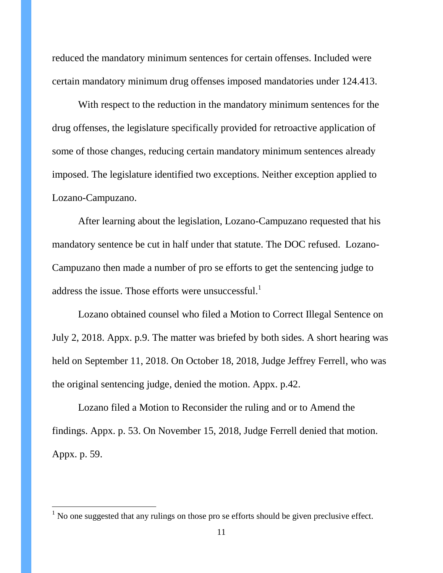reduced the mandatory minimum sentences for certain offenses. Included were certain mandatory minimum drug offenses imposed mandatories under 124.413.

With respect to the reduction in the mandatory minimum sentences for the drug offenses, the legislature specifically provided for retroactive application of some of those changes, reducing certain mandatory minimum sentences already imposed. The legislature identified two exceptions. Neither exception applied to Lozano-Campuzano.

After learning about the legislation, Lozano-Campuzano requested that his mandatory sentence be cut in half under that statute. The DOC refused. Lozano-Campuzano then made a number of pro se efforts to get the sentencing judge to address the issue. Those efforts were unsuccessful.<sup>1</sup>

Lozano obtained counsel who filed a Motion to Correct Illegal Sentence on July 2, 2018. Appx. p.9. The matter was briefed by both sides. A short hearing was held on September 11, 2018. On October 18, 2018, Judge Jeffrey Ferrell, who was the original sentencing judge, denied the motion. Appx. p.42.

Lozano filed a Motion to Reconsider the ruling and or to Amend the findings. Appx. p. 53. On November 15, 2018, Judge Ferrell denied that motion. Appx. p. 59.

 $\overline{a}$ 

 $<sup>1</sup>$  No one suggested that any rulings on those pro se efforts should be given preclusive effect.</sup>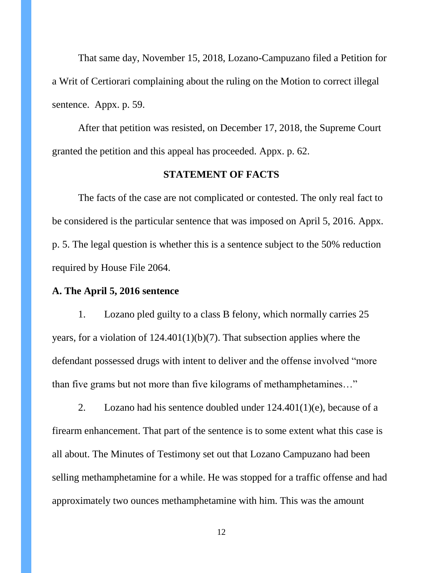That same day, November 15, 2018, Lozano-Campuzano filed a Petition for a Writ of Certiorari complaining about the ruling on the Motion to correct illegal sentence. Appx. p. 59.

After that petition was resisted, on December 17, 2018, the Supreme Court granted the petition and this appeal has proceeded. Appx. p. 62.

#### **STATEMENT OF FACTS**

The facts of the case are not complicated or contested. The only real fact to be considered is the particular sentence that was imposed on April 5, 2016. Appx. p. 5. The legal question is whether this is a sentence subject to the 50% reduction required by House File 2064.

#### **A. The April 5, 2016 sentence**

1. Lozano pled guilty to a class B felony, which normally carries 25 years, for a violation of  $124.401(1)(b)(7)$ . That subsection applies where the defendant possessed drugs with intent to deliver and the offense involved "more than five grams but not more than five kilograms of methamphetamines..."

2. Lozano had his sentence doubled under  $124.401(1)(e)$ , because of a firearm enhancement. That part of the sentence is to some extent what this case is all about. The Minutes of Testimony set out that Lozano Campuzano had been selling methamphetamine for a while. He was stopped for a traffic offense and had approximately two ounces methamphetamine with him. This was the amount

12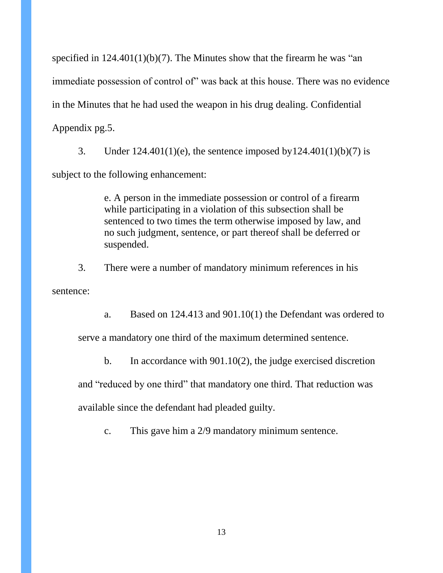specified in  $124.401(1)(b)(7)$ . The Minutes show that the firearm he was "an immediate possession of control of" was back at this house. There was no evidence in the Minutes that he had used the weapon in his drug dealing. Confidential Appendix pg.5.

3. Under  $124.401(1)(e)$ , the sentence imposed by  $124.401(1)(b)(7)$  is subject to the following enhancement:

> e. A person in the immediate possession or control of a firearm while participating in a violation of this subsection shall be sentenced to two times the term otherwise imposed by law, and no such judgment, sentence, or part thereof shall be deferred or suspended.

3. There were a number of mandatory minimum references in his sentence:

a. Based on 124.413 and 901.10(1) the Defendant was ordered to

serve a mandatory one third of the maximum determined sentence.

b. In accordance with 901.10(2), the judge exercised discretion

and "reduced by one third" that mandatory one third. That reduction was

available since the defendant had pleaded guilty.

c. This gave him a 2/9 mandatory minimum sentence.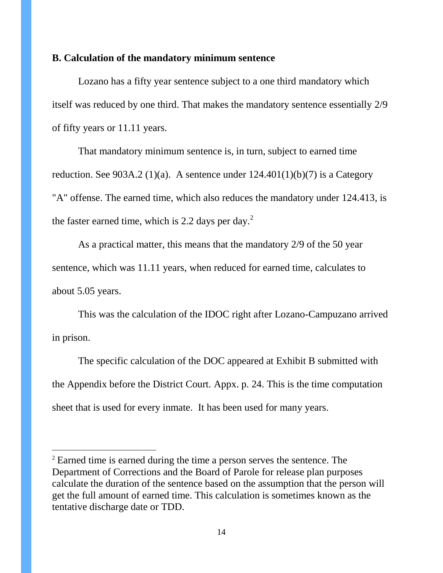#### **B. Calculation of the mandatory minimum sentence**

Lozano has a fifty year sentence subject to a one third mandatory which itself was reduced by one third. That makes the mandatory sentence essentially 2/9 of fifty years or 11.11 years.

That mandatory minimum sentence is, in turn, subject to earned time reduction. See 903A.2 (1)(a). A sentence under  $124.401(1)(b)(7)$  is a Category "A" offense. The earned time, which also reduces the mandatory under 124.413, is the faster earned time, which is 2.2 days per day. $<sup>2</sup>$ </sup>

As a practical matter, this means that the mandatory 2/9 of the 50 year sentence, which was 11.11 years, when reduced for earned time, calculates to about 5.05 years.

This was the calculation of the IDOC right after Lozano-Campuzano arrived in prison.

The specific calculation of the DOC appeared at Exhibit B submitted with the Appendix before the District Court. Appx. p. 24. This is the time computation sheet that is used for every inmate. It has been used for many years.

 $\overline{a}$ 

<sup>&</sup>lt;sup>2</sup> Earned time is earned during the time a person serves the sentence. The Department of Corrections and the Board of Parole for release plan purposes calculate the duration of the sentence based on the assumption that the person will get the full amount of earned time. This calculation is sometimes known as the tentative discharge date or TDD.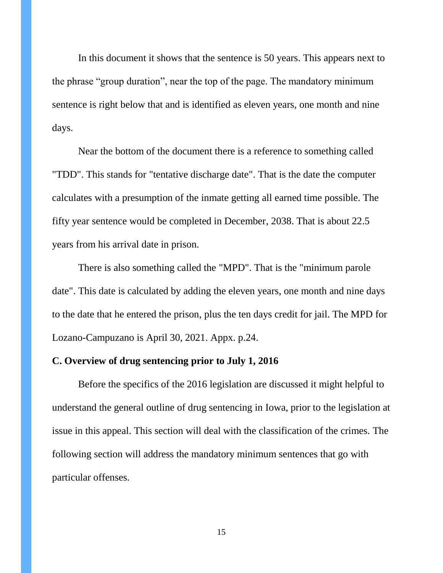In this document it shows that the sentence is 50 years. This appears next to the phrase "group duration", near the top of the page. The mandatory minimum sentence is right below that and is identified as eleven years, one month and nine days.

Near the bottom of the document there is a reference to something called "TDD". This stands for "tentative discharge date". That is the date the computer calculates with a presumption of the inmate getting all earned time possible. The fifty year sentence would be completed in December, 2038. That is about 22.5 years from his arrival date in prison.

There is also something called the "MPD". That is the "minimum parole date". This date is calculated by adding the eleven years, one month and nine days to the date that he entered the prison, plus the ten days credit for jail. The MPD for Lozano-Campuzano is April 30, 2021. Appx. p.24.

## **C. Overview of drug sentencing prior to July 1, 2016**

Before the specifics of the 2016 legislation are discussed it might helpful to understand the general outline of drug sentencing in Iowa, prior to the legislation at issue in this appeal. This section will deal with the classification of the crimes. The following section will address the mandatory minimum sentences that go with particular offenses.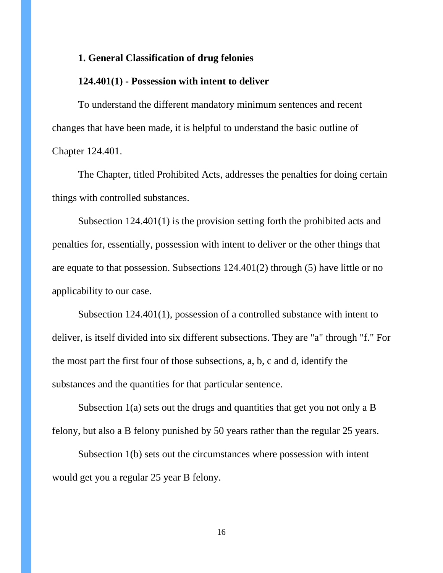#### **1. General Classification of drug felonies**

### **124.401(1) - Possession with intent to deliver**

To understand the different mandatory minimum sentences and recent changes that have been made, it is helpful to understand the basic outline of Chapter 124.401.

The Chapter, titled Prohibited Acts, addresses the penalties for doing certain things with controlled substances.

Subsection 124.401(1) is the provision setting forth the prohibited acts and penalties for, essentially, possession with intent to deliver or the other things that are equate to that possession. Subsections 124.401(2) through (5) have little or no applicability to our case.

Subsection 124.401(1), possession of a controlled substance with intent to deliver, is itself divided into six different subsections. They are "a" through "f." For the most part the first four of those subsections, a, b, c and d, identify the substances and the quantities for that particular sentence.

Subsection 1(a) sets out the drugs and quantities that get you not only a B felony, but also a B felony punished by 50 years rather than the regular 25 years.

Subsection 1(b) sets out the circumstances where possession with intent would get you a regular 25 year B felony.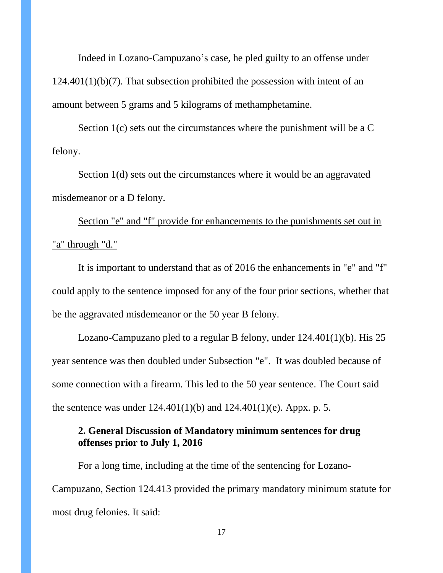Indeed in Lozano-Campuzano's case, he pled guilty to an offense under  $124.401(1)(b)(7)$ . That subsection prohibited the possession with intent of an amount between 5 grams and 5 kilograms of methamphetamine.

Section 1(c) sets out the circumstances where the punishment will be a C felony.

Section 1(d) sets out the circumstances where it would be an aggravated misdemeanor or a D felony.

Section "e" and "f" provide for enhancements to the punishments set out in "a" through "d."

It is important to understand that as of 2016 the enhancements in "e" and "f" could apply to the sentence imposed for any of the four prior sections, whether that be the aggravated misdemeanor or the 50 year B felony.

Lozano-Campuzano pled to a regular B felony, under 124.401(1)(b). His 25 year sentence was then doubled under Subsection "e". It was doubled because of some connection with a firearm. This led to the 50 year sentence. The Court said the sentence was under  $124.401(1)(b)$  and  $124.401(1)(e)$ . Appx. p. 5.

## **2. General Discussion of Mandatory minimum sentences for drug offenses prior to July 1, 2016**

For a long time, including at the time of the sentencing for Lozano-Campuzano, Section 124.413 provided the primary mandatory minimum statute for most drug felonies. It said: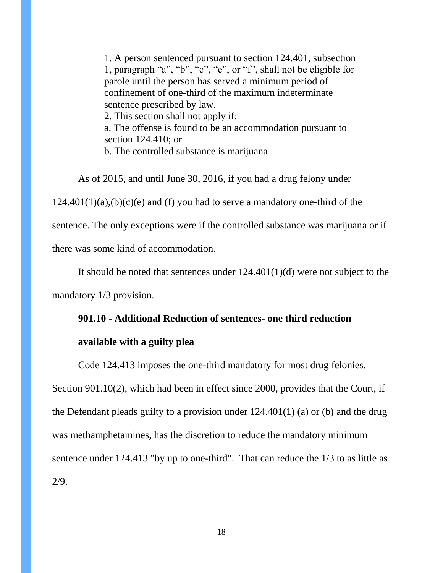1. A person sentenced pursuant to section 124.401, subsection 1, paragraph "a", "b", "c", "e", or "f", shall not be eligible for parole until the person has served a minimum period of confinement of one-third of the maximum indeterminate sentence prescribed by law. 2. This section shall not apply if:

a. The offense is found to be an accommodation pursuant to section 124.410; or

b. The controlled substance is marijuana.

As of 2015, and until June 30, 2016, if you had a drug felony under

 $124.401(1)(a)$ ,  $(b)(c)(e)$  and (f) you had to serve a mandatory one-third of the

sentence. The only exceptions were if the controlled substance was marijuana or if

there was some kind of accommodation.

It should be noted that sentences under 124.401(1)(d) were not subject to the

mandatory 1/3 provision.

### **901.10 - Additional Reduction of sentences- one third reduction**

#### **available with a guilty plea**

Code 124.413 imposes the one-third mandatory for most drug felonies.

Section 901.10(2), which had been in effect since 2000, provides that the Court, if the Defendant pleads guilty to a provision under 124.401(1) (a) or (b) and the drug was methamphetamines, has the discretion to reduce the mandatory minimum sentence under 124.413 "by up to one-third". That can reduce the 1/3 to as little as 2/9.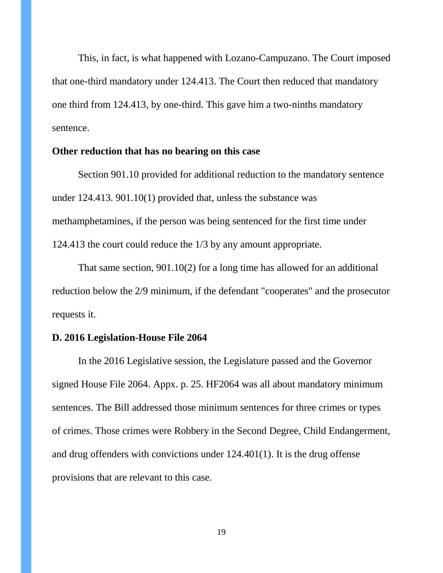This, in fact, is what happened with Lozano-Campuzano. The Court imposed that one-third mandatory under 124.413. The Court then reduced that mandatory one third from 124.413, by one-third. This gave him a two-ninths mandatory sentence.

### **Other reduction that has no bearing on this case**

Section 901.10 provided for additional reduction to the mandatory sentence under 124.413. 901.10(1) provided that, unless the substance was methamphetamines, if the person was being sentenced for the first time under 124.413 the court could reduce the 1/3 by any amount appropriate.

That same section, 901.10(2) for a long time has allowed for an additional reduction below the 2/9 minimum, if the defendant "cooperates" and the prosecutor requests it.

## **D. 2016 Legislation-House File 2064**

In the 2016 Legislative session, the Legislature passed and the Governor signed House File 2064. Appx. p. 25. HF2064 was all about mandatory minimum sentences. The Bill addressed those minimum sentences for three crimes or types of crimes. Those crimes were Robbery in the Second Degree, Child Endangerment, and drug offenders with convictions under 124.401(1). It is the drug offense provisions that are relevant to this case.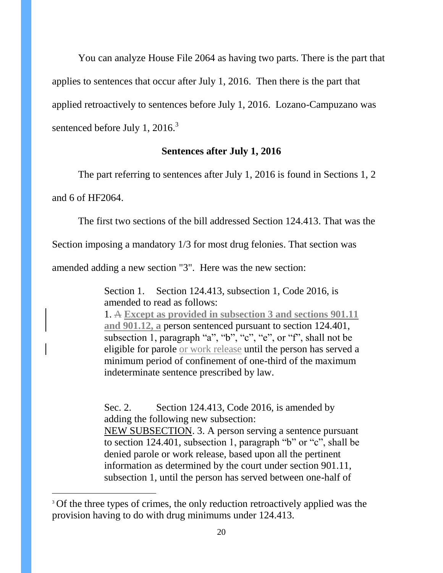You can analyze House File 2064 as having two parts. There is the part that applies to sentences that occur after July 1, 2016. Then there is the part that applied retroactively to sentences before July 1, 2016. Lozano-Campuzano was sentenced before July 1, 2016.<sup>3</sup>

## **Sentences after July 1, 2016**

The part referring to sentences after July 1, 2016 is found in Sections 1, 2

and 6 of HF2064.

 $\overline{a}$ 

The first two sections of the bill addressed Section 124.413. That was the

Section imposing a mandatory 1/3 for most drug felonies. That section was

amended adding a new section "3". Here was the new section:

Section 1. Section 124.413, subsection 1, Code 2016, is amended to read as follows:

1. A **Except as provided in subsection 3 and sections 901.11 and 901.12, a** person sentenced pursuant to section 124.401, subsection 1, paragraph "a", "b", "c", "e", or "f", shall not be eligible for parole or work release until the person has served a minimum period of confinement of one-third of the maximum indeterminate sentence prescribed by law.

Sec. 2. Section 124.413, Code 2016, is amended by adding the following new subsection: NEW SUBSECTION. 3. A person serving a sentence pursuant to section 124.401, subsection 1, paragraph " $b$ " or " $c$ ", shall be denied parole or work release, based upon all the pertinent information as determined by the court under section 901.11, subsection 1, until the person has served between one-half of

<sup>&</sup>lt;sup>3</sup> Of the three types of crimes, the only reduction retroactively applied was the provision having to do with drug minimums under 124.413.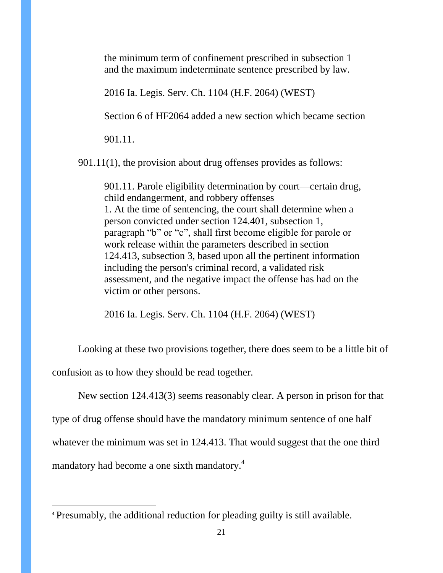the minimum term of confinement prescribed in subsection 1 and the maximum indeterminate sentence prescribed by law.

2016 Ia. Legis. Serv. Ch. 1104 (H.F. 2064) (WEST)

Section 6 of HF2064 added a new section which became section

901.11.

901.11(1), the provision about drug offenses provides as follows:

901.11. Parole eligibility determination by court—certain drug, child endangerment, and robbery offenses 1. At the time of sentencing, the court shall determine when a person convicted under section 124.401, subsection 1, paragraph "b" or "c", shall first become eligible for parole or work release within the parameters described in section 124.413, subsection 3, based upon all the pertinent information including the person's criminal record, a validated risk assessment, and the negative impact the offense has had on the victim or other persons.

2016 Ia. Legis. Serv. Ch. 1104 (H.F. 2064) (WEST)

Looking at these two provisions together, there does seem to be a little bit of confusion as to how they should be read together.

New section 124.413(3) seems reasonably clear. A person in prison for that

type of drug offense should have the mandatory minimum sentence of one half

whatever the minimum was set in 124.413. That would suggest that the one third

mandatory had become a one sixth mandatory.<sup>4</sup>

 $\overline{a}$ 

<sup>4</sup> Presumably, the additional reduction for pleading guilty is still available.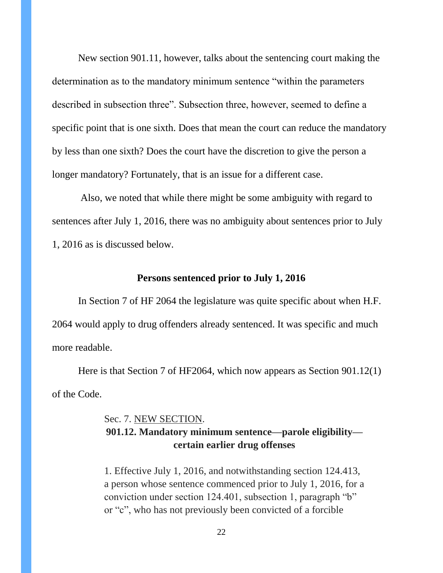New section 901.11, however, talks about the sentencing court making the determination as to the mandatory minimum sentence "within the parameters" described in subsection three". Subsection three, however, seemed to define a specific point that is one sixth. Does that mean the court can reduce the mandatory by less than one sixth? Does the court have the discretion to give the person a longer mandatory? Fortunately, that is an issue for a different case.

Also, we noted that while there might be some ambiguity with regard to sentences after July 1, 2016, there was no ambiguity about sentences prior to July 1, 2016 as is discussed below.

#### **Persons sentenced prior to July 1, 2016**

In Section 7 of HF 2064 the legislature was quite specific about when H.F. 2064 would apply to drug offenders already sentenced. It was specific and much more readable.

Here is that Section 7 of HF2064, which now appears as Section 901.12(1) of the Code.

# Sec. 7. NEW SECTION. **901.12. Mandatory minimum sentence—parole eligibility certain earlier drug offenses**

1. Effective July 1, 2016, and notwithstanding section 124.413, a person whose sentence commenced prior to July 1, 2016, for a conviction under section 124.401, subsection 1, paragraph  $\mathcal{B}$ " or " $c$ ", who has not previously been convicted of a forcible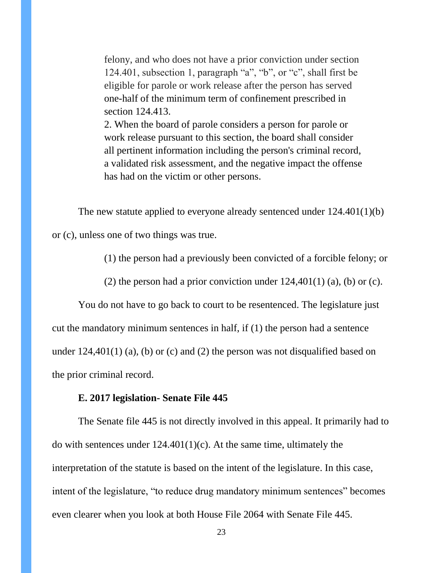felony, and who does not have a prior conviction under section 124.401, subsection 1, paragraph "a", "b", or "c", shall first be eligible for parole or work release after the person has served one-half of the minimum term of confinement prescribed in section 124.413.

2. When the board of parole considers a person for parole or work release pursuant to this section, the board shall consider all pertinent information including the person's criminal record, a validated risk assessment, and the negative impact the offense has had on the victim or other persons.

The new statute applied to everyone already sentenced under 124.401(1)(b)

or (c), unless one of two things was true.

(1) the person had a previously been convicted of a forcible felony; or

(2) the person had a prior conviction under  $124,401(1)$  (a), (b) or (c).

You do not have to go back to court to be resentenced. The legislature just cut the mandatory minimum sentences in half, if (1) the person had a sentence under  $124,401(1)$  (a), (b) or (c) and (2) the person was not disqualified based on the prior criminal record.

### **E. 2017 legislation- Senate File 445**

The Senate file 445 is not directly involved in this appeal. It primarily had to do with sentences under  $124.401(1)(c)$ . At the same time, ultimately the interpretation of the statute is based on the intent of the legislature. In this case, intent of the legislature, "to reduce drug mandatory minimum sentences" becomes even clearer when you look at both House File 2064 with Senate File 445.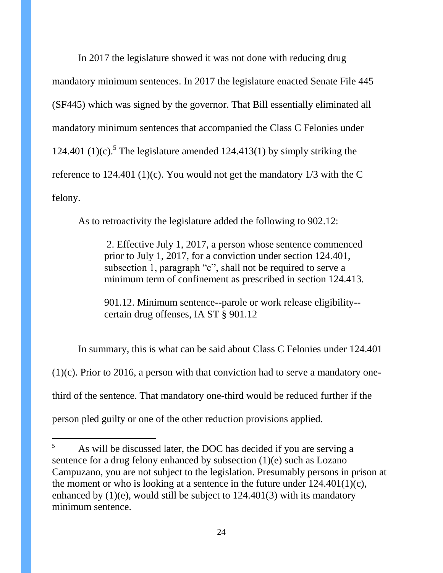In 2017 the legislature showed it was not done with reducing drug mandatory minimum sentences. In 2017 the legislature enacted Senate File 445 (SF445) which was signed by the governor. That Bill essentially eliminated all mandatory minimum sentences that accompanied the Class C Felonies under 124.401 (1)(c).<sup>5</sup> The legislature amended 124.413(1) by simply striking the reference to 124.401 (1)(c). You would not get the mandatory 1/3 with the C felony.

As to retroactivity the legislature added the following to 902.12:

2. Effective July 1, 2017, a person whose sentence commenced prior to July 1, 2017, for a conviction under section 124.401, subsection 1, paragraph "c", shall not be required to serve a minimum term of confinement as prescribed in section 124.413.

901.12. Minimum sentence--parole or work release eligibility- certain drug offenses, IA ST § 901.12

In summary, this is what can be said about Class C Felonies under 124.401 (1)(c). Prior to 2016, a person with that conviction had to serve a mandatory onethird of the sentence. That mandatory one-third would be reduced further if the person pled guilty or one of the other reduction provisions applied.

 $\overline{a}$ 

<sup>&</sup>lt;sup>5</sup> As will be discussed later, the DOC has decided if you are serving a sentence for a drug felony enhanced by subsection (1)(e) such as Lozano Campuzano, you are not subject to the legislation. Presumably persons in prison at the moment or who is looking at a sentence in the future under  $124.401(1)(c)$ , enhanced by  $(1)(e)$ , would still be subject to  $124.401(3)$  with its mandatory minimum sentence.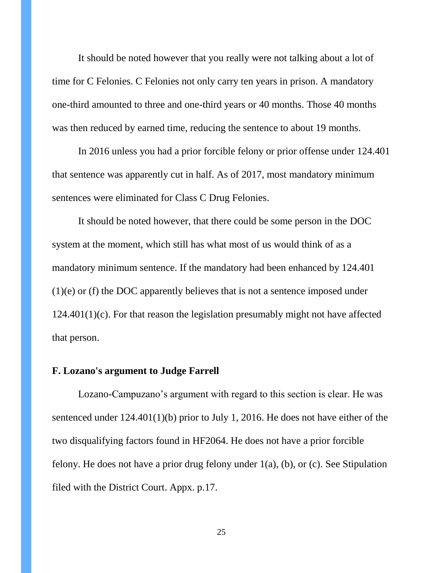It should be noted however that you really were not talking about a lot of time for C Felonies. C Felonies not only carry ten years in prison. A mandatory one-third amounted to three and one-third years or 40 months. Those 40 months was then reduced by earned time, reducing the sentence to about 19 months.

In 2016 unless you had a prior forcible felony or prior offense under 124.401 that sentence was apparently cut in half. As of 2017, most mandatory minimum sentences were eliminated for Class C Drug Felonies.

It should be noted however, that there could be some person in the DOC system at the moment, which still has what most of us would think of as a mandatory minimum sentence. If the mandatory had been enhanced by 124.401 (1)(e) or (f) the DOC apparently believes that is not a sentence imposed under 124.401(1)(c). For that reason the legislation presumably might not have affected that person.

### **F. Lozano's argument to Judge Farrell**

Lozano-Campuzano's argument with regard to this section is clear. He was sentenced under 124.401(1)(b) prior to July 1, 2016. He does not have either of the two disqualifying factors found in HF2064. He does not have a prior forcible felony. He does not have a prior drug felony under 1(a), (b), or (c). See Stipulation filed with the District Court. Appx. p.17.

25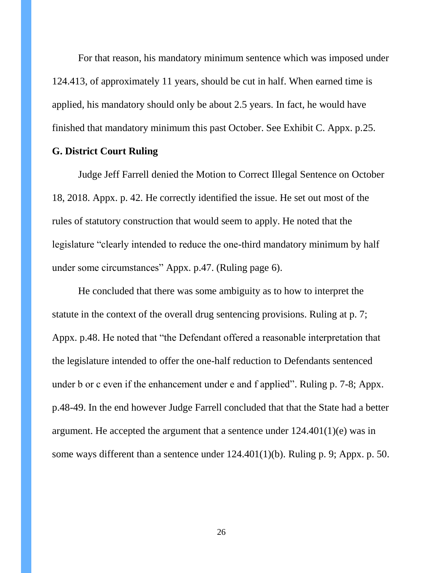For that reason, his mandatory minimum sentence which was imposed under 124.413, of approximately 11 years, should be cut in half. When earned time is applied, his mandatory should only be about 2.5 years. In fact, he would have finished that mandatory minimum this past October. See Exhibit C. Appx. p.25.

### **G. District Court Ruling**

Judge Jeff Farrell denied the Motion to Correct Illegal Sentence on October 18, 2018. Appx. p. 42. He correctly identified the issue. He set out most of the rules of statutory construction that would seem to apply. He noted that the legislature "clearly intended to reduce the one-third mandatory minimum by half under some circumstances" Appx. p.47. (Ruling page 6).

He concluded that there was some ambiguity as to how to interpret the statute in the context of the overall drug sentencing provisions. Ruling at p. 7; Appx. p.48. He noted that "the Defendant offered a reasonable interpretation that the legislature intended to offer the one-half reduction to Defendants sentenced under b or c even if the enhancement under e and f applied". Ruling p. 7-8; Appx. p.48-49. In the end however Judge Farrell concluded that that the State had a better argument. He accepted the argument that a sentence under 124.401(1)(e) was in some ways different than a sentence under 124.401(1)(b). Ruling p. 9; Appx. p. 50.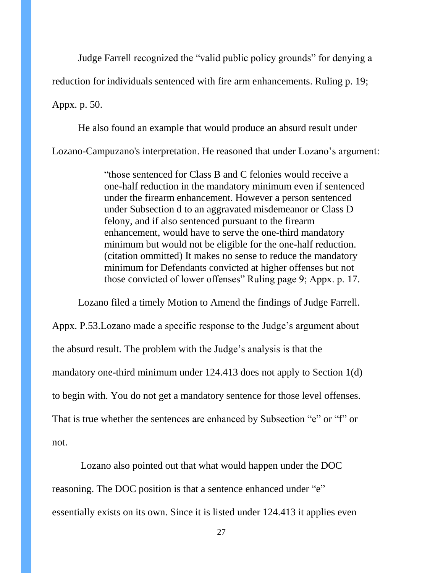Judge Farrell recognized the "valid public policy grounds" for denying a

reduction for individuals sentenced with fire arm enhancements. Ruling p. 19;

Appx. p. 50.

He also found an example that would produce an absurd result under Lozano-Campuzano's interpretation. He reasoned that under Lozano's argument:

> "those sentenced for Class B and C felonies would receive a one-half reduction in the mandatory minimum even if sentenced under the firearm enhancement. However a person sentenced under Subsection d to an aggravated misdemeanor or Class D felony, and if also sentenced pursuant to the firearm enhancement, would have to serve the one-third mandatory minimum but would not be eligible for the one-half reduction. (citation ommitted) It makes no sense to reduce the mandatory minimum for Defendants convicted at higher offenses but not those convicted of lower offenses" Ruling page 9; Appx. p. 17.

Lozano filed a timely Motion to Amend the findings of Judge Farrell. Appx. P.53.Lozano made a specific response to the Judge's argument about the absurd result. The problem with the Judge's analysis is that the mandatory one-third minimum under 124.413 does not apply to Section 1(d) to begin with. You do not get a mandatory sentence for those level offenses. That is true whether the sentences are enhanced by Subsection "e" or "f" or not.

Lozano also pointed out that what would happen under the DOC reasoning. The DOC position is that a sentence enhanced under "e" essentially exists on its own. Since it is listed under 124.413 it applies even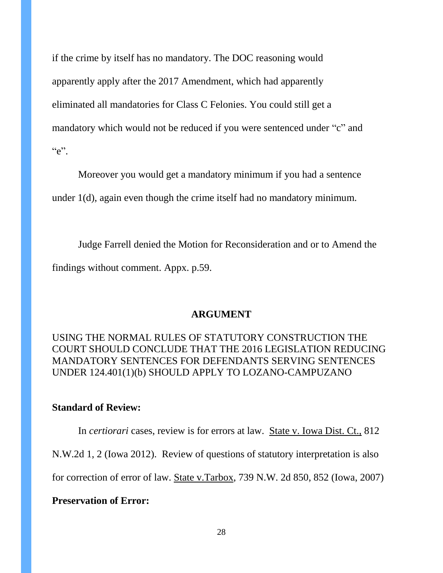if the crime by itself has no mandatory. The DOC reasoning would apparently apply after the 2017 Amendment, which had apparently eliminated all mandatories for Class C Felonies. You could still get a mandatory which would not be reduced if you were sentenced under "c" and  $C^{\prime}e$ ".

Moreover you would get a mandatory minimum if you had a sentence under 1(d), again even though the crime itself had no mandatory minimum.

Judge Farrell denied the Motion for Reconsideration and or to Amend the findings without comment. Appx. p.59.

### **ARGUMENT**

USING THE NORMAL RULES OF STATUTORY CONSTRUCTION THE COURT SHOULD CONCLUDE THAT THE 2016 LEGISLATION REDUCING MANDATORY SENTENCES FOR DEFENDANTS SERVING SENTENCES UNDER 124.401(1)(b) SHOULD APPLY TO LOZANO-CAMPUZANO

## **Standard of Review:**

In *certiorari* cases, review is for errors at law. State v. Iowa Dist. Ct., 812

N.W.2d 1, 2 (Iowa 2012). Review of questions of statutory interpretation is also

for correction of error of law. State v.Tarbox, 739 N.W. 2d 850, 852 (Iowa, 2007)

**Preservation of Error:**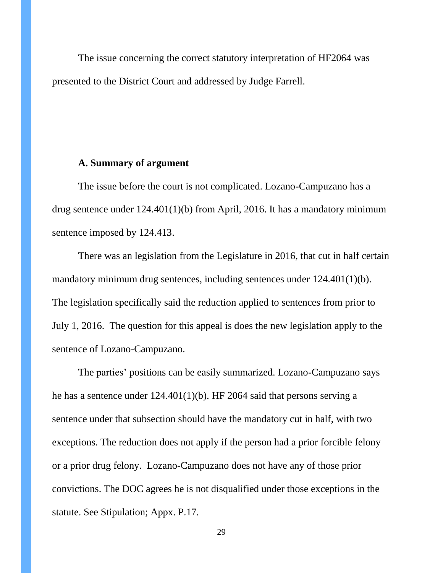The issue concerning the correct statutory interpretation of HF2064 was presented to the District Court and addressed by Judge Farrell.

# **A. Summary of argument**

The issue before the court is not complicated. Lozano-Campuzano has a drug sentence under 124.401(1)(b) from April, 2016. It has a mandatory minimum sentence imposed by 124.413.

There was an legislation from the Legislature in 2016, that cut in half certain mandatory minimum drug sentences, including sentences under 124.401(1)(b). The legislation specifically said the reduction applied to sentences from prior to July 1, 2016. The question for this appeal is does the new legislation apply to the sentence of Lozano-Campuzano.

The parties' positions can be easily summarized. Lozano-Campuzano says he has a sentence under 124.401(1)(b). HF 2064 said that persons serving a sentence under that subsection should have the mandatory cut in half, with two exceptions. The reduction does not apply if the person had a prior forcible felony or a prior drug felony. Lozano-Campuzano does not have any of those prior convictions. The DOC agrees he is not disqualified under those exceptions in the statute. See Stipulation; Appx. P.17.

29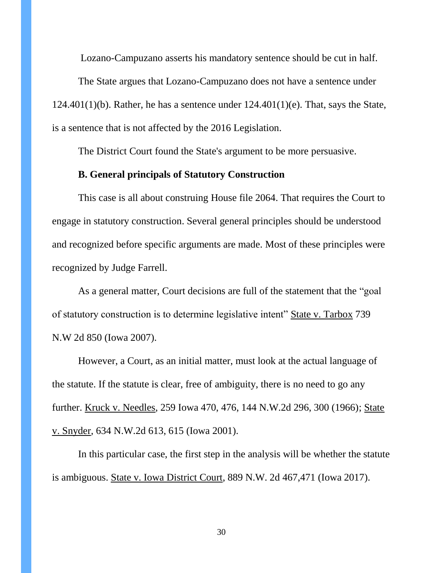Lozano-Campuzano asserts his mandatory sentence should be cut in half.

The State argues that Lozano-Campuzano does not have a sentence under  $124.401(1)(b)$ . Rather, he has a sentence under  $124.401(1)(e)$ . That, says the State, is a sentence that is not affected by the 2016 Legislation.

The District Court found the State's argument to be more persuasive.

### **B. General principals of Statutory Construction**

This case is all about construing House file 2064. That requires the Court to engage in statutory construction. Several general principles should be understood and recognized before specific arguments are made. Most of these principles were recognized by Judge Farrell.

As a general matter, Court decisions are full of the statement that the "goal" of statutory construction is to determine legislative intent" State v. Tarbox 739 N.W 2d 850 (Iowa 2007).

However, a Court, as an initial matter, must look at the actual language of the statute. If the statute is clear, free of ambiguity, there is no need to go any further. Kruck v. Needles, 259 Iowa 470, 476, 144 N.W.2d 296, 300 (1966); State v. Snyder*,* 634 N.W.2d 613, 615 (Iowa 2001).

In this particular case, the first step in the analysis will be whether the statute is ambiguous. State v. Iowa District Court, 889 N.W. 2d 467,471 (Iowa 2017).

30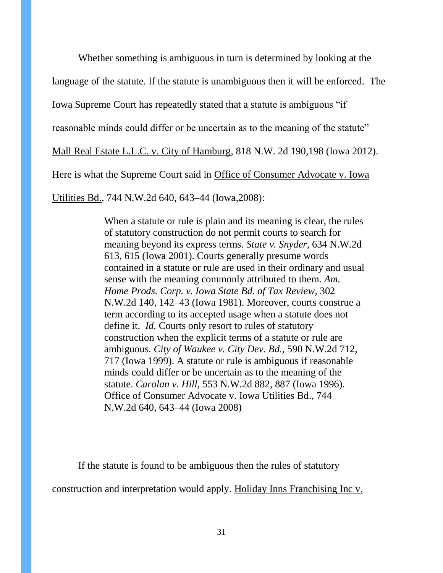Whether something is ambiguous in turn is determined by looking at the language of the statute. If the statute is unambiguous then it will be enforced. The Iowa Supreme Court has repeatedly stated that a statute is ambiguous "if reasonable minds could differ or be uncertain as to the meaning of the statute" Mall Real Estate L.L.C. v. City of Hamburg, 818 N.W. 2d 190,198 (Iowa 2012). Here is what the Supreme Court said in Office of Consumer Advocate v. Iowa

Utilities Bd., 744 N.W.2d 640, 643–44 (Iowa,2008):

When a statute or rule is plain and its meaning is clear, the rules of statutory construction do not permit courts to search for meaning beyond its express terms. *State v. Snyder,* 634 N.W.2d 613, 615 (Iowa 2001). Courts generally presume words contained in a statute or rule are used in their ordinary and usual sense with the meaning commonly attributed to them. *Am. Home Prods. Corp. v. Iowa State Bd. of Tax Review,* 302 N.W.2d 140, 142–43 (Iowa 1981). Moreover, courts construe a term according to its accepted usage when a statute does not define it. *Id.* Courts only resort to rules of statutory construction when the explicit terms of a statute or rule are ambiguous. *City of Waukee v. City Dev. Bd.,* 590 N.W.2d 712, 717 (Iowa 1999). A statute or rule is ambiguous if reasonable minds could differ or be uncertain as to the meaning of the statute. *Carolan v. Hill,* 553 N.W.2d 882, 887 (Iowa 1996). Office of Consumer Advocate v. Iowa Utilities Bd., 744 N.W.2d 640, 643–44 (Iowa 2008)

If the statute is found to be ambiguous then the rules of statutory

construction and interpretation would apply. Holiday Inns Franchising Inc v.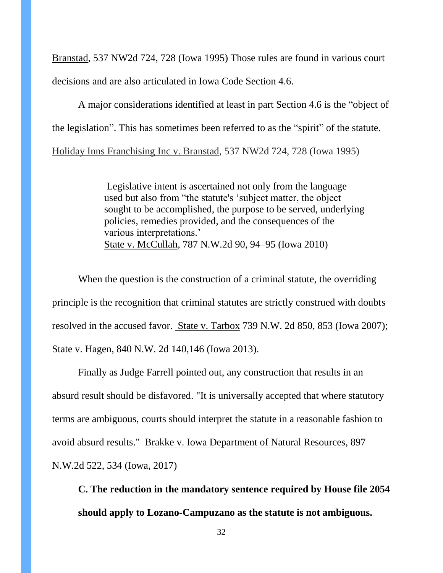Branstad, 537 NW2d 724, 728 (Iowa 1995) Those rules are found in various court decisions and are also articulated in Iowa Code Section 4.6.

A major considerations identified at least in part Section 4.6 is the "object of the legislation". This has sometimes been referred to as the "spirit" of the statute. Holiday Inns Franchising Inc v. Branstad, 537 NW2d 724, 728 (Iowa 1995)

> Legislative intent is ascertained not only from the language used but also from "the statute's 'subject matter, the object sought to be accomplished, the purpose to be served, underlying policies, remedies provided, and the consequences of the various interpretations.' State v. McCullah, 787 N.W.2d 90, 94–95 (Iowa 2010)

When the question is the construction of a criminal statute, the overriding principle is the recognition that criminal statutes are strictly construed with doubts resolved in the accused favor. State v. Tarbox 739 N.W. 2d 850, 853 (Iowa 2007); State v. Hagen, 840 N.W. 2d 140,146 (Iowa 2013).

Finally as Judge Farrell pointed out, any construction that results in an absurd result should be disfavored. "It is universally accepted that where statutory terms are ambiguous, courts should interpret the statute in a reasonable fashion to avoid absurd results." Brakke v. Iowa Department of Natural Resources, 897 N.W.2d 522, 534 (Iowa, 2017)

**C. The reduction in the mandatory sentence required by House file 2054 should apply to Lozano-Campuzano as the statute is not ambiguous.**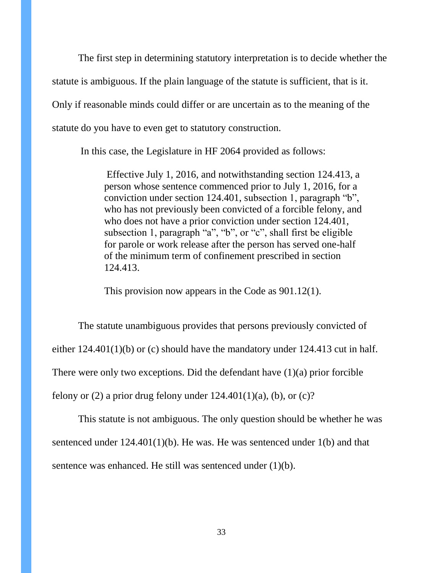The first step in determining statutory interpretation is to decide whether the statute is ambiguous. If the plain language of the statute is sufficient, that is it. Only if reasonable minds could differ or are uncertain as to the meaning of the statute do you have to even get to statutory construction.

In this case, the Legislature in HF 2064 provided as follows:

Effective July 1, 2016, and notwithstanding section 124.413, a person whose sentence commenced prior to July 1, 2016, for a conviction under section 124.401, subsection 1, paragraph  $\mathcal{B}$ , who has not previously been convicted of a forcible felony, and who does not have a prior conviction under section 124.401, subsection 1, paragraph "a", "b", or "c", shall first be eligible for parole or work release after the person has served one-half of the minimum term of confinement prescribed in section 124.413.

This provision now appears in the Code as 901.12(1).

The statute unambiguous provides that persons previously convicted of either 124.401(1)(b) or (c) should have the mandatory under 124.413 cut in half. There were only two exceptions. Did the defendant have  $(1)(a)$  prior forcible felony or (2) a prior drug felony under  $124.401(1)(a)$ , (b), or (c)?

This statute is not ambiguous. The only question should be whether he was sentenced under 124.401(1)(b). He was. He was sentenced under 1(b) and that sentence was enhanced. He still was sentenced under (1)(b).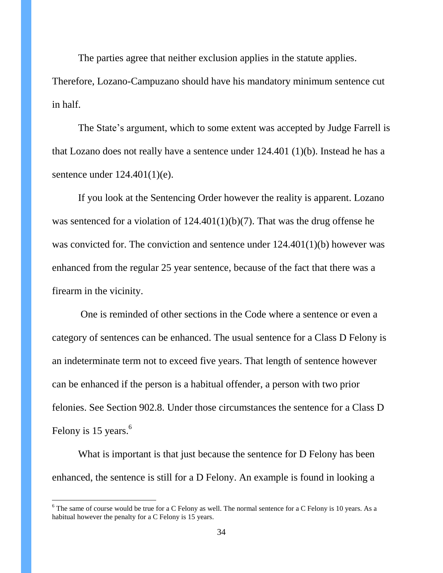The parties agree that neither exclusion applies in the statute applies.

Therefore, Lozano-Campuzano should have his mandatory minimum sentence cut in half.

The State's argument, which to some extent was accepted by Judge Farrell is that Lozano does not really have a sentence under 124.401 (1)(b). Instead he has a sentence under 124.401(1)(e).

If you look at the Sentencing Order however the reality is apparent. Lozano was sentenced for a violation of  $124.401(1)(b)(7)$ . That was the drug offense he was convicted for. The conviction and sentence under  $124.401(1)(b)$  however was enhanced from the regular 25 year sentence, because of the fact that there was a firearm in the vicinity.

One is reminded of other sections in the Code where a sentence or even a category of sentences can be enhanced. The usual sentence for a Class D Felony is an indeterminate term not to exceed five years. That length of sentence however can be enhanced if the person is a habitual offender, a person with two prior felonies. See Section 902.8. Under those circumstances the sentence for a Class D Felony is 15 years.<sup>6</sup>

What is important is that just because the sentence for D Felony has been enhanced, the sentence is still for a D Felony. An example is found in looking a

 $\overline{a}$ 

 $6$  The same of course would be true for a C Felony as well. The normal sentence for a C Felony is 10 years. As a habitual however the penalty for a C Felony is 15 years.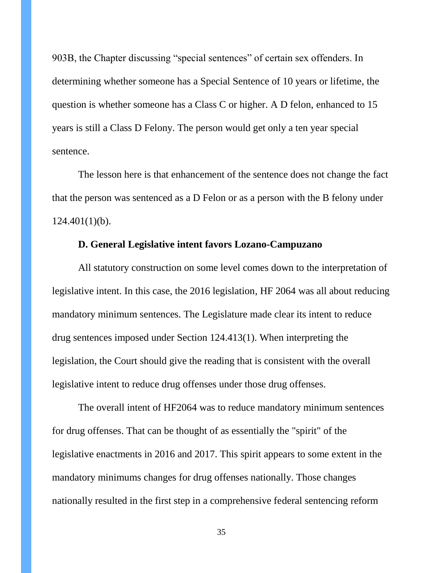903B, the Chapter discussing "special sentences" of certain sex offenders. In determining whether someone has a Special Sentence of 10 years or lifetime, the question is whether someone has a Class C or higher. A D felon, enhanced to 15 years is still a Class D Felony. The person would get only a ten year special sentence.

The lesson here is that enhancement of the sentence does not change the fact that the person was sentenced as a D Felon or as a person with the B felony under  $124.401(1)(b)$ .

## **D. General Legislative intent favors Lozano-Campuzano**

All statutory construction on some level comes down to the interpretation of legislative intent. In this case, the 2016 legislation, HF 2064 was all about reducing mandatory minimum sentences. The Legislature made clear its intent to reduce drug sentences imposed under Section 124.413(1). When interpreting the legislation, the Court should give the reading that is consistent with the overall legislative intent to reduce drug offenses under those drug offenses.

The overall intent of HF2064 was to reduce mandatory minimum sentences for drug offenses. That can be thought of as essentially the "spirit" of the legislative enactments in 2016 and 2017. This spirit appears to some extent in the mandatory minimums changes for drug offenses nationally. Those changes nationally resulted in the first step in a comprehensive federal sentencing reform

35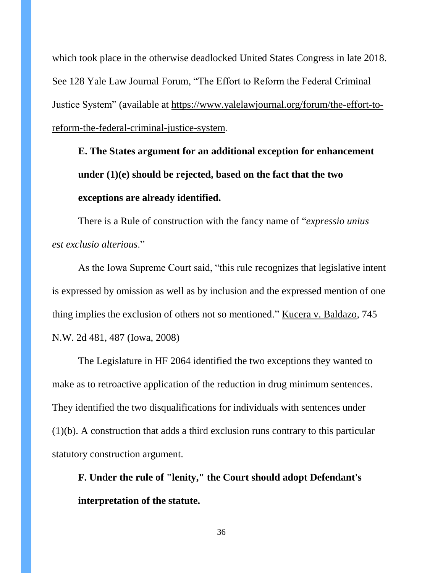which took place in the otherwise deadlocked United States Congress in late 2018. See 128 Yale Law Journal Forum, "The Effort to Reform the Federal Criminal Justice System" (available at [https://www.yalelawjournal.org/forum/the-effort-to](https://www.yalelawjournal.org/forum/the-effort-to-reform-the-federal-criminal-justice-system)[reform-the-federal-criminal-justice-system](https://www.yalelawjournal.org/forum/the-effort-to-reform-the-federal-criminal-justice-system).

**E. The States argument for an additional exception for enhancement under (1)(e) should be rejected, based on the fact that the two exceptions are already identified.**

There is a Rule of construction with the fancy name of "*expressio unius est exclusio alterious*.‖

As the Iowa Supreme Court said, "this rule recognizes that legislative intent is expressed by omission as well as by inclusion and the expressed mention of one thing implies the exclusion of others not so mentioned." Kucera v. Baldazo, 745 N.W. 2d 481, 487 (Iowa, 2008)

The Legislature in HF 2064 identified the two exceptions they wanted to make as to retroactive application of the reduction in drug minimum sentences. They identified the two disqualifications for individuals with sentences under (1)(b). A construction that adds a third exclusion runs contrary to this particular statutory construction argument.

**F. Under the rule of "lenity," the Court should adopt Defendant's interpretation of the statute.**

36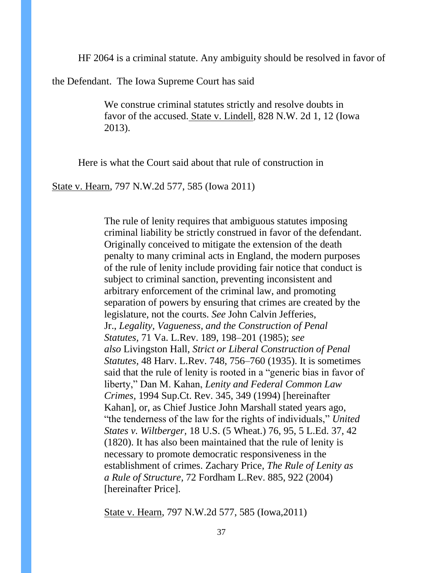HF 2064 is a criminal statute. Any ambiguity should be resolved in favor of

the Defendant. The Iowa Supreme Court has said

We construe criminal statutes strictly and resolve doubts in favor of the accused. State v. Lindell*,* 828 N.W. 2d 1, 12 (Iowa 2013).

Here is what the Court said about that rule of construction in

State v. Hearn, 797 N.W.2d 577, 585 (Iowa 2011)

The rule of lenity requires that ambiguous statutes imposing criminal liability be strictly construed in favor of the defendant. Originally conceived to mitigate the extension of the death penalty to many criminal acts in England, the modern purposes of the rule of lenity include providing fair notice that conduct is subject to criminal sanction, preventing inconsistent and arbitrary enforcement of the criminal law, and promoting separation of powers by ensuring that crimes are created by the legislature, not the courts. *See* John Calvin Jefferies, Jr., *Legality, Vagueness, and the Construction of Penal Statutes,* 71 Va. L.Rev. 189, 198–201 (1985); *see also* Livingston Hall, *Strict or Liberal Construction of Penal Statutes,* 48 Harv. L.Rev. 748, 756–760 (1935). It is sometimes said that the rule of lenity is rooted in a "generic bias in favor of liberty," Dan M. Kahan, *Lenity and Federal Common Law Crimes,* 1994 Sup.Ct. Rev. 345, 349 (1994) [hereinafter Kahan], or, as Chief Justice John Marshall stated years ago, "the tenderness of the law for the rights of individuals," *United States v. Wiltberger,* 18 U.S. (5 Wheat.) 76, 95, 5 L.Ed. 37, 42 (1820). It has also been maintained that the rule of lenity is necessary to promote democratic responsiveness in the establishment of crimes. Zachary Price, *The Rule of Lenity as a Rule of Structure,* 72 Fordham L.Rev. 885, 922 (2004) [hereinafter Price].

State v. Hearn, 797 N.W.2d 577, 585 (Iowa,2011)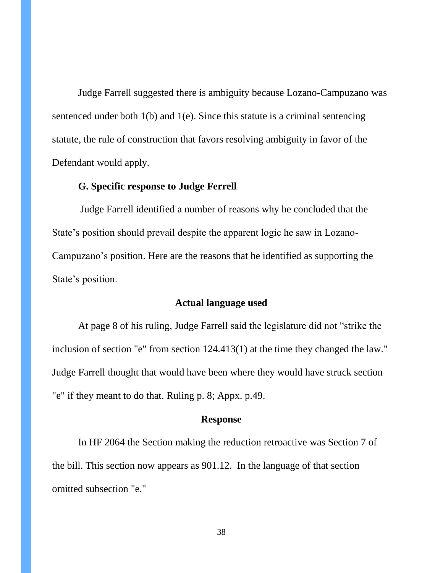Judge Farrell suggested there is ambiguity because Lozano-Campuzano was sentenced under both 1(b) and 1(e). Since this statute is a criminal sentencing statute, the rule of construction that favors resolving ambiguity in favor of the Defendant would apply.

## **G. Specific response to Judge Ferrell**

Judge Farrell identified a number of reasons why he concluded that the State's position should prevail despite the apparent logic he saw in Lozano-Campuzano's position. Here are the reasons that he identified as supporting the State's position.

### **Actual language used**

At page 8 of his ruling, Judge Farrell said the legislature did not "strike the inclusion of section "e" from section 124.413(1) at the time they changed the law." Judge Farrell thought that would have been where they would have struck section "e" if they meant to do that. Ruling p. 8; Appx. p.49.

## **Response**

In HF 2064 the Section making the reduction retroactive was Section 7 of the bill. This section now appears as 901.12. In the language of that section omitted subsection "e."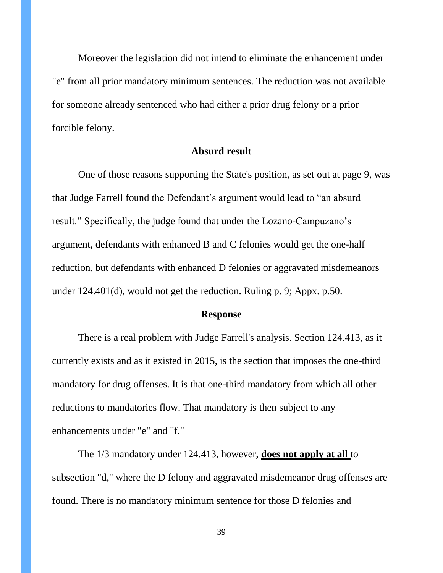Moreover the legislation did not intend to eliminate the enhancement under "e" from all prior mandatory minimum sentences. The reduction was not available for someone already sentenced who had either a prior drug felony or a prior forcible felony.

#### **Absurd result**

One of those reasons supporting the State's position, as set out at page 9, was that Judge Farrell found the Defendant's argument would lead to "an absurd" result." Specifically, the judge found that under the Lozano-Campuzano's argument, defendants with enhanced B and C felonies would get the one-half reduction, but defendants with enhanced D felonies or aggravated misdemeanors under 124.401(d), would not get the reduction. Ruling p. 9; Appx. p.50.

### **Response**

There is a real problem with Judge Farrell's analysis. Section 124.413, as it currently exists and as it existed in 2015, is the section that imposes the one-third mandatory for drug offenses. It is that one-third mandatory from which all other reductions to mandatories flow. That mandatory is then subject to any enhancements under "e" and "f."

The 1/3 mandatory under 124.413, however, **does not apply at all** to subsection "d," where the D felony and aggravated misdemeanor drug offenses are found. There is no mandatory minimum sentence for those D felonies and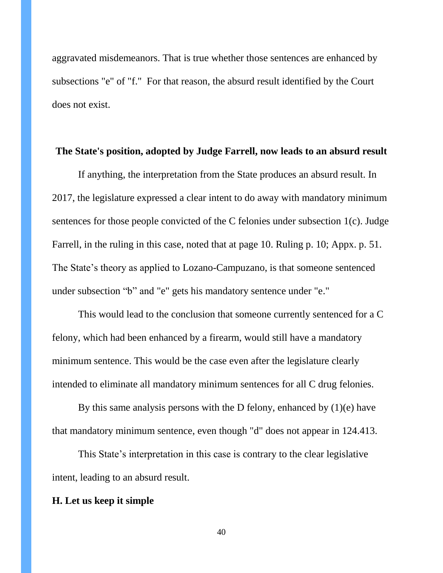aggravated misdemeanors. That is true whether those sentences are enhanced by subsections "e" of "f." For that reason, the absurd result identified by the Court does not exist.

#### **The State's position, adopted by Judge Farrell, now leads to an absurd result**

If anything, the interpretation from the State produces an absurd result. In 2017, the legislature expressed a clear intent to do away with mandatory minimum sentences for those people convicted of the C felonies under subsection 1(c). Judge Farrell, in the ruling in this case, noted that at page 10. Ruling p. 10; Appx. p. 51. The State's theory as applied to Lozano-Campuzano, is that someone sentenced under subsection "b" and "e" gets his mandatory sentence under "e."

This would lead to the conclusion that someone currently sentenced for a C felony, which had been enhanced by a firearm, would still have a mandatory minimum sentence. This would be the case even after the legislature clearly intended to eliminate all mandatory minimum sentences for all C drug felonies.

By this same analysis persons with the D felony, enhanced by  $(1)(e)$  have that mandatory minimum sentence, even though "d" does not appear in 124.413.

This State's interpretation in this case is contrary to the clear legislative intent, leading to an absurd result.

### **H. Let us keep it simple**

40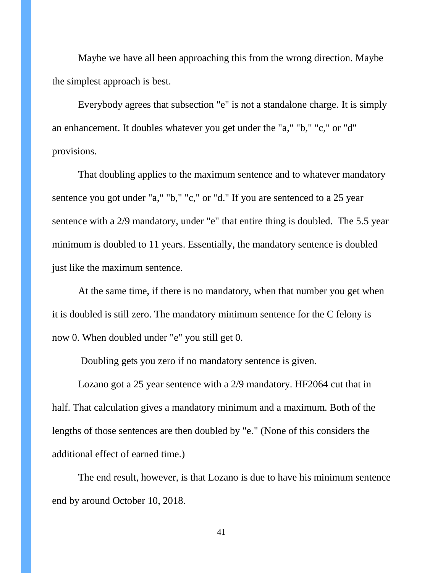Maybe we have all been approaching this from the wrong direction. Maybe the simplest approach is best.

Everybody agrees that subsection "e" is not a standalone charge. It is simply an enhancement. It doubles whatever you get under the "a," "b," "c," or "d" provisions.

That doubling applies to the maximum sentence and to whatever mandatory sentence you got under "a," "b," "c," or "d." If you are sentenced to a 25 year sentence with a 2/9 mandatory, under "e" that entire thing is doubled. The 5.5 year minimum is doubled to 11 years. Essentially, the mandatory sentence is doubled just like the maximum sentence.

At the same time, if there is no mandatory, when that number you get when it is doubled is still zero. The mandatory minimum sentence for the C felony is now 0. When doubled under "e" you still get 0.

Doubling gets you zero if no mandatory sentence is given.

Lozano got a 25 year sentence with a 2/9 mandatory. HF2064 cut that in half. That calculation gives a mandatory minimum and a maximum. Both of the lengths of those sentences are then doubled by "e." (None of this considers the additional effect of earned time.)

The end result, however, is that Lozano is due to have his minimum sentence end by around October 10, 2018.

41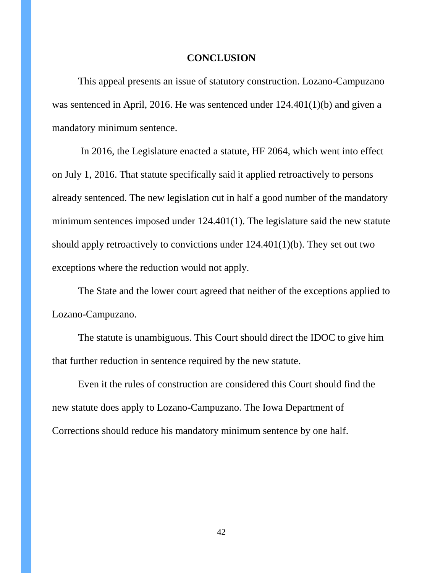#### **CONCLUSION**

This appeal presents an issue of statutory construction. Lozano-Campuzano was sentenced in April, 2016. He was sentenced under 124.401(1)(b) and given a mandatory minimum sentence.

In 2016, the Legislature enacted a statute, HF 2064, which went into effect on July 1, 2016. That statute specifically said it applied retroactively to persons already sentenced. The new legislation cut in half a good number of the mandatory minimum sentences imposed under 124.401(1). The legislature said the new statute should apply retroactively to convictions under 124.401(1)(b). They set out two exceptions where the reduction would not apply.

The State and the lower court agreed that neither of the exceptions applied to Lozano-Campuzano.

The statute is unambiguous. This Court should direct the IDOC to give him that further reduction in sentence required by the new statute.

Even it the rules of construction are considered this Court should find the new statute does apply to Lozano-Campuzano. The Iowa Department of Corrections should reduce his mandatory minimum sentence by one half.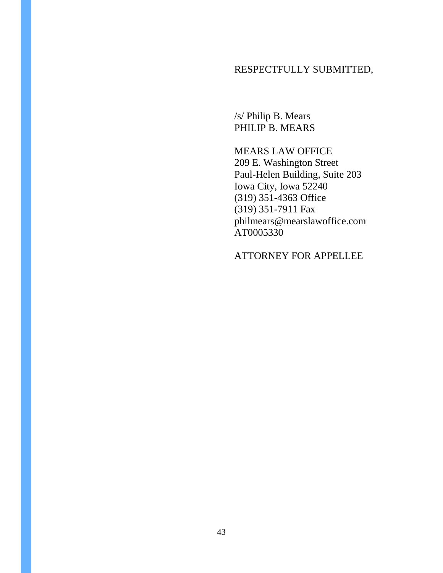# RESPECTFULLY SUBMITTED,

/s/ Philip B. Mears PHILIP B. MEARS

MEARS LAW OFFICE 209 E. Washington Street Paul-Helen Building, Suite 203 Iowa City, Iowa 52240 (319) 351-4363 Office (319) 351-7911 Fax philmears@mearslawoffice.com AT0005330

ATTORNEY FOR APPELLEE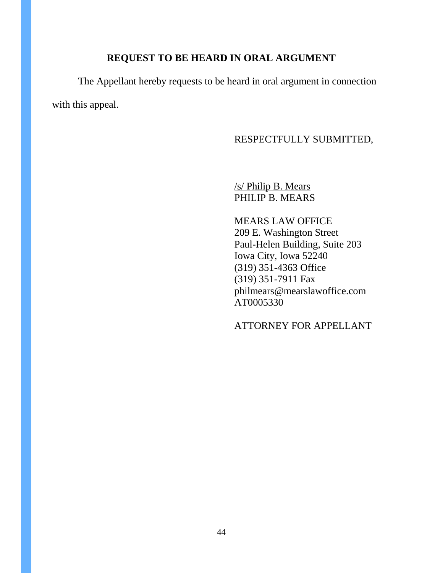## **REQUEST TO BE HEARD IN ORAL ARGUMENT**

The Appellant hereby requests to be heard in oral argument in connection with this appeal.

## RESPECTFULLY SUBMITTED,

/s/ Philip B. Mears PHILIP B. MEARS

MEARS LAW OFFICE 209 E. Washington Street Paul-Helen Building, Suite 203 Iowa City, Iowa 52240 (319) 351-4363 Office (319) 351-7911 Fax philmears@mearslawoffice.com AT0005330

ATTORNEY FOR APPELLANT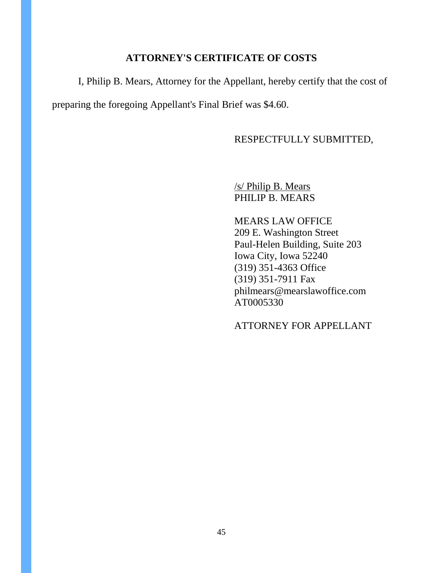## **ATTORNEY'S CERTIFICATE OF COSTS**

I, Philip B. Mears, Attorney for the Appellant, hereby certify that the cost of preparing the foregoing Appellant's Final Brief was \$4.60.

RESPECTFULLY SUBMITTED,

/s/ Philip B. Mears PHILIP B. MEARS

MEARS LAW OFFICE 209 E. Washington Street Paul-Helen Building, Suite 203 Iowa City, Iowa 52240 (319) 351-4363 Office (319) 351-7911 Fax philmears@mearslawoffice.com AT0005330

ATTORNEY FOR APPELLANT